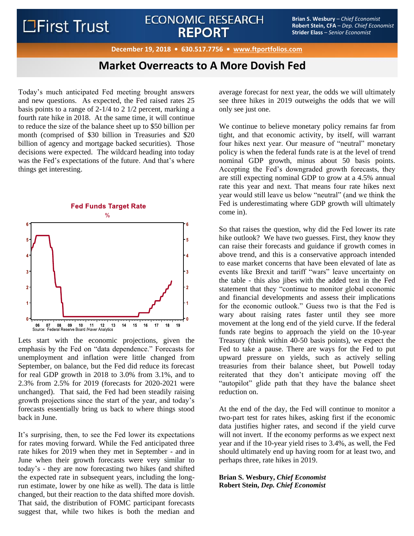# **LEirst Trust**

## **ECONOMIC RESEARCH REPORT**

**Brian S. Wesbury** – *Chief Economist* **Robert Stein, CFA** – *Dep. Chief Economist* **Strider Elass** – *Senior Economist*

**December 19, 2018 • 630.517.7756 • [www.ftportfolios.com](http://www.ftportfolioslp.com/)**

## **Market Overreacts to A More Dovish Fed**

Today's much anticipated Fed meeting brought answers and new questions. As expected, the Fed raised rates 25 basis points to a range of 2-1/4 to 2 1/2 percent, marking a fourth rate hike in 2018. At the same time, it will continue to reduce the size of the balance sheet up to \$50 billion per month (comprised of \$30 billion in Treasuries and \$20 billion of agency and mortgage backed securities). Those decisions were expected. The wildcard heading into today was the Fed's expectations of the future. And that's where things get interesting.



Lets start with the economic projections, given the emphasis by the Fed on "data dependence." Forecasts for unemployment and inflation were little changed from September, on balance, but the Fed did reduce its forecast for real GDP growth in 2018 to 3.0% from 3.1%, and to 2.3% from 2.5% for 2019 (forecasts for 2020-2021 were unchanged). That said, the Fed had been steadily raising growth projections since the start of the year, and today's forecasts essentially bring us back to where things stood back in June.

It's surprising, then, to see the Fed lower its expectations for rates moving forward. While the Fed anticipated three rate hikes for 2019 when they met in September - and in June when their growth forecasts were very similar to today's - they are now forecasting two hikes (and shifted the expected rate in subsequent years, including the longrun estimate, lower by one hike as well). The data is little changed, but their reaction to the data shifted more dovish. That said, the distribution of FOMC participant forecasts suggest that, while two hikes is both the median and

average forecast for next year, the odds we will ultimately see three hikes in 2019 outweighs the odds that we will only see just one.

We continue to believe monetary policy remains far from tight, and that economic activity, by itself, will warrant four hikes next year. Our measure of "neutral" monetary policy is when the federal funds rate is at the level of trend nominal GDP growth, minus about 50 basis points. Accepting the Fed's downgraded growth forecasts, they are still expecting nominal GDP to grow at a 4.5% annual rate this year and next. That means four rate hikes next year would still leave us below "neutral" (and we think the Fed is underestimating where GDP growth will ultimately come in).

So that raises the question, why did the Fed lower its rate hike outlook? We have two guesses. First, they know they can raise their forecasts and guidance if growth comes in above trend, and this is a conservative approach intended to ease market concerns that have been elevated of late as events like Brexit and tariff "wars" leave uncertainty on the table - this also jibes with the added text in the Fed statement that they "continue to monitor global economic and financial developments and assess their implications for the economic outlook." Guess two is that the Fed is wary about raising rates faster until they see more movement at the long end of the yield curve. If the federal funds rate begins to approach the yield on the 10-year Treasury (think within 40-50 basis points), we expect the Fed to take a pause. There are ways for the Fed to put upward pressure on yields, such as actively selling treasuries from their balance sheet, but Powell today reiterated that they don't anticipate moving off the "autopilot" glide path that they have the balance sheet reduction on.

At the end of the day, the Fed will continue to monitor a two-part test for rates hikes, asking first if the economic data justifies higher rates, and second if the yield curve will not invert. If the economy performs as we expect next year and if the 10-year yield rises to 3.4%, as well, the Fed should ultimately end up having room for at least two, and perhaps three, rate hikes in 2019.

### **Brian S. Wesbury,** *Chief Economist* **Robert Stein,** *Dep. Chief Economist*